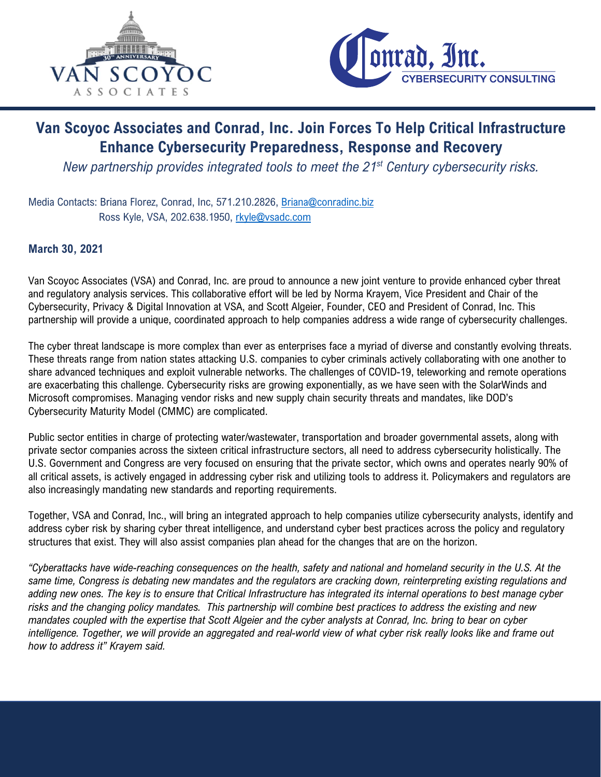



## Van Scoyoc Associates and Conrad, Inc. Join Forces To Help Critical Infrastructure Enhance Cybersecurity Preparedness, Response and Recovery

*New partnership provides integrated tools to meet the 21st Century cybersecurity risks.* 

Media Contacts: Briana Florez, Conrad, Inc, 571.210.2826, Briana@conradinc.biz Ross Kyle, VSA, 202.638.1950, rkyle@vsadc.com

## March 30, 2021

Van Scoyoc Associates (VSA) and Conrad, Inc. are proud to announce a new joint venture to provide enhanced cyber threat and regulatory analysis services. This collaborative effort will be led by Norma Krayem, Vice President and Chair of the Cybersecurity, Privacy & Digital Innovation at VSA, and Scott Algeier, Founder, CEO and President of Conrad, Inc. This partnership will provide a unique, coordinated approach to help companies address a wide range of cybersecurity challenges.

The cyber threat landscape is more complex than ever as enterprises face a myriad of diverse and constantly evolving threats. These threats range from nation states attacking U.S. companies to cyber criminals actively collaborating with one another to share advanced techniques and exploit vulnerable networks. The challenges of COVID-19, teleworking and remote operations are exacerbating this challenge. Cybersecurity risks are growing exponentially, as we have seen with the SolarWinds and Microsoft compromises. Managing vendor risks and new supply chain security threats and mandates, like DOD's Cybersecurity Maturity Model (CMMC) are complicated.

Public sector entities in charge of protecting water/wastewater, transportation and broader governmental assets, along with private sector companies across the sixteen critical infrastructure sectors, all need to address cybersecurity holistically. The U.S. Government and Congress are very focused on ensuring that the private sector, which owns and operates nearly 90% of all critical assets, is actively engaged in addressing cyber risk and utilizing tools to address it. Policymakers and regulators are also increasingly mandating new standards and reporting requirements.

Together, VSA and Conrad, Inc., will bring an integrated approach to help companies utilize cybersecurity analysts, identify and address cyber risk by sharing cyber threat intelligence, and understand cyber best practices across the policy and regulatory structures that exist. They will also assist companies plan ahead for the changes that are on the horizon.

*"Cyberattacks have wide-reaching consequences on the health, safety and national and homeland security in the U.S. At the same time, Congress is debating new mandates and the regulators are cracking down, reinterpreting existing regulations and adding new ones. The key is to ensure that Critical Infrastructure has integrated its internal operations to best manage cyber risks and the changing policy mandates. This partnership will combine best practices to address the existing and new mandates coupled with the expertise that Scott Algeier and the cyber analysts at Conrad, Inc. bring to bear on cyber intelligence. Together, we will provide an aggregated and real-world view of what cyber risk really looks like and frame out how to address it" Krayem said.*